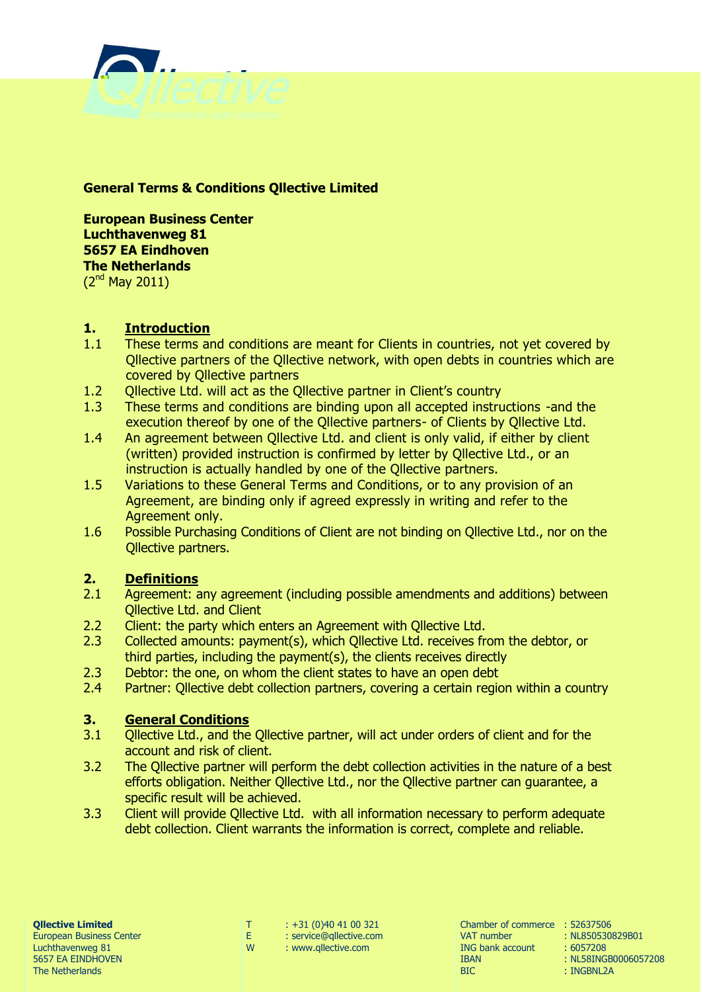

### **General Terms & Conditions Qllective Limited**

**European Business Center Luchthavenweg 81 5657 EA Eindhoven The Netherlands** (2nd May 2011)

### **1. Introduction**

- 1.1 These terms and conditions are meant for Clients in countries, not yet covered by Qllective partners of the Qllective network, with open debts in countries which are covered by Qllective partners
- 1.2 Qllective Ltd. will act as the Qllective partner in Client's country
- 1.3 These terms and conditions are binding upon all accepted instructions -and the execution thereof by one of the Qllective partners- of Clients by Qllective Ltd.
- 1.4 An agreement between Qllective Ltd. and client is only valid, if either by client (written) provided instruction is confirmed by letter by Qllective Ltd., or an instruction is actually handled by one of the Qllective partners.
- 1.5 Variations to these General Terms and Conditions, or to any provision of an Agreement, are binding only if agreed expressly in writing and refer to the Agreement only.
- 1.6 Possible Purchasing Conditions of Client are not binding on Qllective Ltd., nor on the Qllective partners.

# **2. Definitions**

- 2.1 Agreement: any agreement (including possible amendments and additions) between Qllective Ltd. and Client
- 2.2 Client: the party which enters an Agreement with Ollective Ltd.
- 2.3 Collected amounts: payment(s), which Qllective Ltd. receives from the debtor, or third parties, including the payment(s), the clients receives directly
- 2.3 Debtor: the one, on whom the client states to have an open debt
- 2.4 Partner: Qllective debt collection partners, covering a certain region within a country

# **3. General Conditions**

- 3.1 Qllective Ltd., and the Qllective partner, will act under orders of client and for the account and risk of client.
- 3.2 The Qllective partner will perform the debt collection activities in the nature of a best efforts obligation. Neither Qllective Ltd., nor the Qllective partner can guarantee, a specific result will be achieved.
- 3.3 Client will provide Qllective Ltd. with all information necessary to perform adequate debt collection. Client warrants the information is correct, complete and reliable.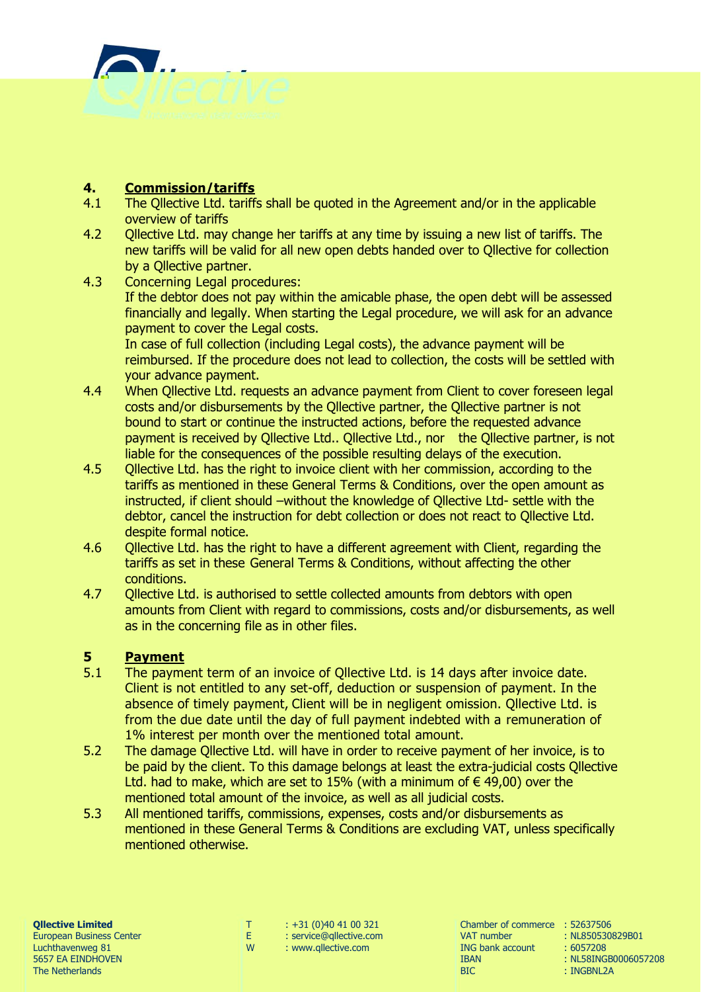

## **4. Commission/tariffs**

- 4.1 The Qllective Ltd. tariffs shall be quoted in the Agreement and/or in the applicable overview of tariffs
- 4.2 Ollective Ltd. may change her tariffs at any time by issuing a new list of tariffs. The new tariffs will be valid for all new open debts handed over to Qllective for collection by a Qllective partner.
- 4.3 Concerning Legal procedures: If the debtor does not pay within the amicable phase, the open debt will be assessed financially and legally. When starting the Legal procedure, we will ask for an advance payment to cover the Legal costs. In case of full collection (including Legal costs), the advance payment will be reimbursed. If the procedure does not lead to collection, the costs will be settled with your advance payment.
- 4.4 When Qllective Ltd. requests an advance payment from Client to cover foreseen legal costs and/or disbursements by the Qllective partner, the Qllective partner is not bound to start or continue the instructed actions, before the requested advance payment is received by Qllective Ltd.. Qllective Ltd., nor the Qllective partner, is not liable for the consequences of the possible resulting delays of the execution.
- 4.5 Qllective Ltd. has the right to invoice client with her commission, according to the tariffs as mentioned in these General Terms & Conditions, over the open amount as instructed, if client should –without the knowledge of Qllective Ltd- settle with the debtor, cancel the instruction for debt collection or does not react to Qllective Ltd. despite formal notice.
- 4.6 Qllective Ltd. has the right to have a different agreement with Client, regarding the tariffs as set in these General Terms & Conditions, without affecting the other conditions.
- 4.7 Qllective Ltd. is authorised to settle collected amounts from debtors with open amounts from Client with regard to commissions, costs and/or disbursements, as well as in the concerning file as in other files.

### **5 Payment**

- 5.1 The payment term of an invoice of Qllective Ltd. is 14 days after invoice date. Client is not entitled to any set-off, deduction or suspension of payment. In the absence of timely payment, Client will be in negligent omission. Qllective Ltd. is from the due date until the day of full payment indebted with a remuneration of 1% interest per month over the mentioned total amount.
- 5.2 The damage Qllective Ltd. will have in order to receive payment of her invoice, is to be paid by the client. To this damage belongs at least the extra-judicial costs Qllective Ltd. had to make, which are set to 15% (with a minimum of  $\epsilon$  49,00) over the mentioned total amount of the invoice, as well as all judicial costs.
- 5.3 All mentioned tariffs, commissions, expenses, costs and/or disbursements as mentioned in these General Terms & Conditions are excluding VAT, unless specifically mentioned otherwise.